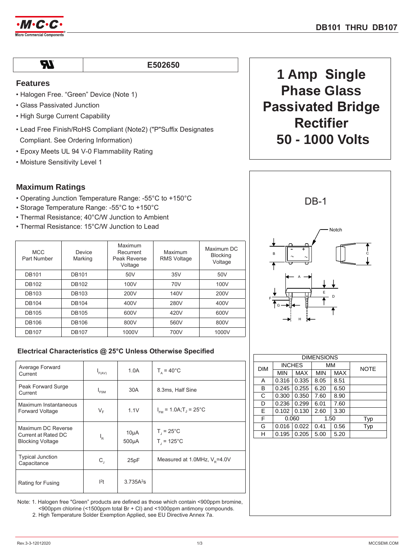

**AI** 

E502650

## **Features**

- Halogen Free. "Green" Device (Note 1)
- Glass Passivated Junction
- High Surge Current Capability
- Lead Free Finish/RoHS Compliant (Note2) ("P"Suffix Designates
- Compliant. See Ordering Information)
- Epoxy Meets UL 94 V-0 Flammability Rating
- Moisture Sensitivity Level 1

## **Maximum Ratings**

- Operating Junction Temperature Range: -55°C to +150°C
- Storage Temperature Range: -55°C to +150°C
- Thermal Resistance; 40°C/W Junction to Ambient
- Thermal Resistance: 15°C/W Junction to Lead

| <b>MCC</b><br>Part Number | Device<br>Marking | Maximum<br>Recurrent<br>Peak Reverse<br>Voltage | Maximum<br><b>RMS Voltage</b> | Maximum DC<br><b>Blocking</b><br>Voltage |
|---------------------------|-------------------|-------------------------------------------------|-------------------------------|------------------------------------------|
| <b>DB101</b>              | <b>DB101</b>      | 50V                                             | 35V                           | 50V                                      |
| <b>DB102</b>              | <b>DB102</b>      | 100V                                            | 70V                           | 100V                                     |
| <b>DB103</b>              | <b>DB103</b>      | 200V                                            | 140V                          | 200V                                     |
| <b>DB104</b>              | <b>DB104</b>      | 400V                                            | 280V                          | 400V                                     |
| <b>DB105</b>              | <b>DB105</b>      | 600V                                            | 420V                          | 600V                                     |
| <b>DB106</b>              | <b>DB106</b>      | 800V                                            | 560V                          | 800V                                     |
| <b>DB107</b>              | <b>DB107</b>      | 1000V                                           | 700V                          | 1000V                                    |

# **1 Amp Single Phase Glass Passivated Bridge Rectifier 50 - 1000 Volts**



### **Electrical Characteristics @ 25°C Unless Otherwise Specified**

| Average Forward<br>Current                                           | $I_{F(AV)}$      | 1.0A                            | $T_a = 40^{\circ}$ C                                       |
|----------------------------------------------------------------------|------------------|---------------------------------|------------------------------------------------------------|
| Peak Forward Surge<br>Current                                        | I <sub>FSM</sub> | 30A                             | 8.3ms, Half Sine                                           |
| Maximum Instantaneous<br><b>Forward Voltage</b>                      | $V_F$            | 1.1V                            | $I_{\text{EM}}$ = 1.0A; T <sub>J</sub> = 25 <sup>°</sup> C |
| Maximum DC Reverse<br>Current at Rated DC<br><b>Blocking Voltage</b> | ı,               | $10\mu A$<br>500 <sub>µ</sub> A | $T_{\parallel}$ = 25°C<br>$T = 125^{\circ}$ C              |
| <b>Typical Junction</b><br>Capacitance                               | $C_{\rm J}$      | 25pF                            | Measured at 1.0MHz, $V_e$ =4.0V                            |
| Rating for Fusing                                                    | 1 <sup>2</sup> t | $3.735A^{2}s$                   |                                                            |

Note: 1. Halogen free "Green" products are defined as those which contain <900ppm bromine, <900ppm chlorine (<1500ppm total Br + Cl) and <1000ppm antimony compounds. 2. High Temperature Solder Exemption Applied, see EU Directive Annex 7a.

 $MIN$   $MAX$   $MIN$   $MAX$ A  $\vert 0.316 \vert 0.335 \vert 8.05 \vert 8.51$  $\overline{B}$  0.245 0.255 6.20 6.50  $C \left[ 0.300 \right] 0.350 \left[ 7.60 \right] 8.90$ D  $\vert 0.236 \vert 0.299 \vert 6.01 \vert 7.60$  $E$  0.102 0.130 2.60 3.30 F | 0.060 | 1.50 | Typ F 0.060 1.50 Typ<br>G 0.016 0.022 0.41 0.56 Typ  $H$  0.195 0.205 5.00 5.20 **DIMENSIONS** DIM INCHES MM NOTE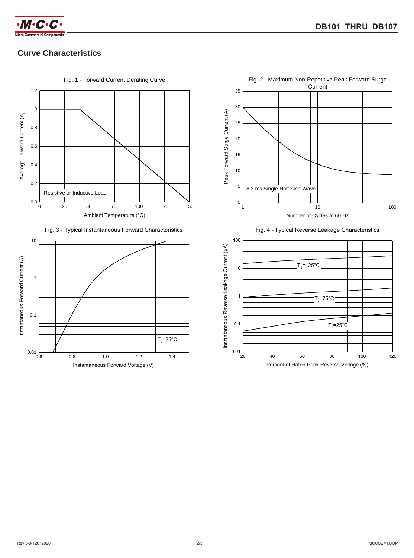

## **Curve Characteristics**



Fig. 3 - Typical Instantaneous Forward Characteristics







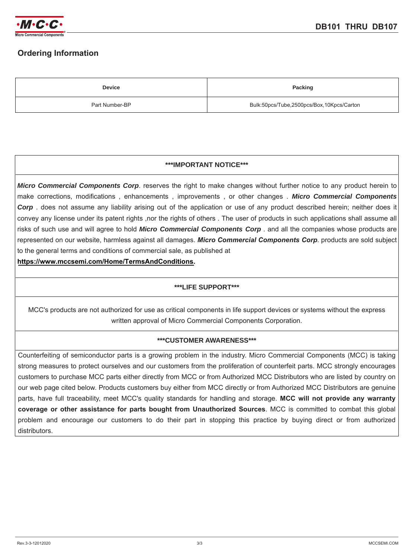

## **Ordering Information**

| <b>Device</b>  | Packing                                   |
|----------------|-------------------------------------------|
| Part Number-BP | Bulk:50pcs/Tube,2500pcs/Box,10Kpcs/Carton |

#### **\*\*\*IMPORTANT NOTICE\*\*\***

*Micro Commercial Components Corp*. reserves the right to make changes without further notice to any product herein to make corrections, modifications , enhancements , improvements , or other changes . *Micro Commercial Components Corp* . does not assume any liability arising out of the application or use of any product described herein; neither does it convey any license under its patent rights ,nor the rights of others . The user of products in such applications shall assume all risks of such use and will agree to hold *Micro Commercial Components Corp* . and all the companies whose products are represented on our website, harmless against all damages. *Micro Commercial Components Corp*. products are sold subject to the general terms and conditions of commercial sale, as published at

**https://www.mccsemi.com/Home/TermsAndConditions.**

#### **\*\*\*LIFE SUPPORT\*\*\***

MCC's products are not authorized for use as critical components in life support devices or systems without the express written approval of Micro Commercial Components Corporation.

#### **\*\*\*CUSTOMER AWARENESS\*\*\***

Counterfeiting of semiconductor parts is a growing problem in the industry. Micro Commercial Components (MCC) is taking strong measures to protect ourselves and our customers from the proliferation of counterfeit parts. MCC strongly encourages customers to purchase MCC parts either directly from MCC or from Authorized MCC Distributors who are listed by country on our web page cited below. Products customers buy either from MCC directly or from Authorized MCC Distributors are genuine parts, have full traceability, meet MCC's quality standards for handling and storage. **MCC will not provide any warranty coverage or other assistance for parts bought from Unauthorized Sources**. MCC is committed to combat this global problem and encourage our customers to do their part in stopping this practice by buying direct or from authorized distributors.